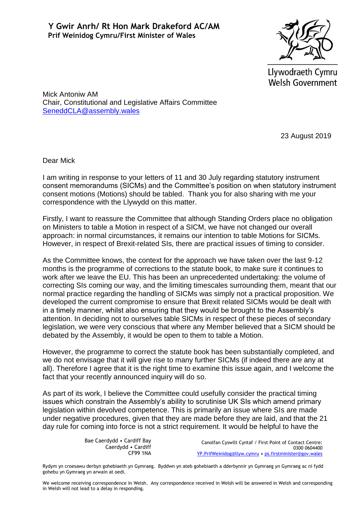

Llywodraeth Cymru **Welsh Government** 

Mick Antoniw AM Chair, Constitutional and Legislative Affairs Committee [SeneddCLA@assembly.wales](mailto:SeneddCLA@assembly.wales)

23 August 2019

Dear Mick

I am writing in response to your letters of 11 and 30 July regarding statutory instrument consent memorandums (SICMs) and the Committee's position on when statutory instrument consent motions (Motions) should be tabled. Thank you for also sharing with me your correspondence with the Llywydd on this matter.

Firstly, I want to reassure the Committee that although Standing Orders place no obligation on Ministers to table a Motion in respect of a SICM, we have not changed our overall approach: in normal circumstances, it remains our intention to table Motions for SICMs. However, in respect of Brexit-related SIs, there are practical issues of timing to consider.

As the Committee knows, the context for the approach we have taken over the last 9-12 months is the programme of corrections to the statute book, to make sure it continues to work after we leave the EU. This has been an unprecedented undertaking: the volume of correcting SIs coming our way, and the limiting timescales surrounding them, meant that our normal practice regarding the handling of SICMs was simply not a practical proposition. We developed the current compromise to ensure that Brexit related SICMs would be dealt with in a timely manner, whilst also ensuring that they would be brought to the Assembly's attention. In deciding not to ourselves table SICMs in respect of these pieces of secondary legislation, we were very conscious that where any Member believed that a SICM should be debated by the Assembly, it would be open to them to table a Motion.

However, the programme to correct the statute book has been substantially completed, and we do not envisage that it will give rise to many further SICMs (if indeed there are any at all). Therefore I agree that it is the right time to examine this issue again, and I welcome the fact that your recently announced inquiry will do so.

As part of its work, I believe the Committee could usefully consider the practical timing issues which constrain the Assembly's ability to scrutinise UK SIs which amend primary legislation within devolved competence. This is primarily an issue where SIs are made under negative procedures, given that they are made before they are laid, and that the 21 day rule for coming into force is not a strict requirement. It would be helpful to have the

> Bae Caerdydd • Cardiff Bay Caerdydd • Cardiff CF99 1NA

Canolfan Cyswllt Cyntaf / First Point of Contact Centre: 0300 0604400 [YP.PrifWeinidog@llyw.cymru](mailto:YP.PrifWeinidog@llyw.cymru) • [ps.firstminister@gov.wales](mailto:ps.firstminister@gov.wales)

Rydym yn croesawu derbyn gohebiaeth yn Gymraeg. Byddwn yn ateb gohebiaeth a dderbynnir yn Gymraeg yn Gymraeg ac ni fydd gohebu yn Gymraeg yn arwain at oedi.

We welcome receiving correspondence in Welsh. Any correspondence received in Welsh will be answered in Welsh and corresponding in Welsh will not lead to a delay in responding.